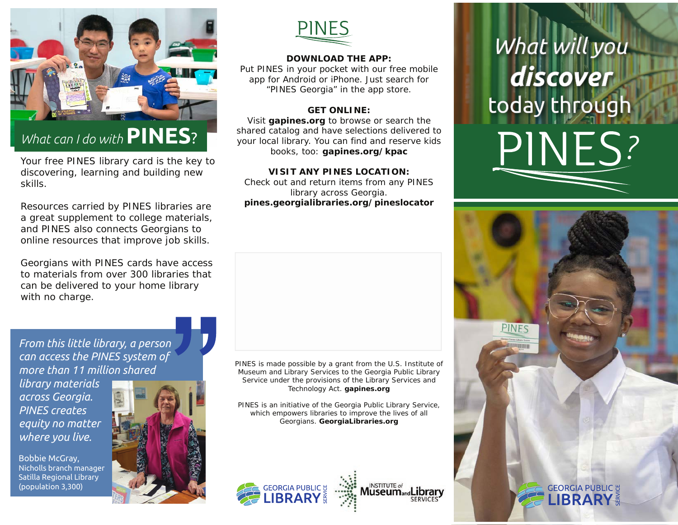

# *What can I do with***PINES**?

Your free PINES library card is the key to discovering, learning and building new skills.

Resources carried by PINES libraries are a great supplement to college materials, and PINES also connects Georgians to online resources that improve job skills.

Georgians with PINES cards have access to materials from over 300 libraries that can be delivered to your home library with no charge.

**PINES** 

### **DOWNLOAD THE APP:**

Put PINES in your pocket with our free mobile app for Android or iPhone. Just search for "PINES Georgia" in the app store.

## **GET ONLINE:**

Visit **gapines.org** to browse or search the shared catalog and have selections delivered to your local library. You can find and reserve kids books, too: **gapines.org/kpac**

### **VISIT ANY PINES LOCATION:**

Check out and return items from any PINES library across Georgia. **pines.georgialibraries.org/pineslocator**

PINES is made possible by a grant from the U.S. Institute of Museum and Library Services to the Georgia Public Library Service under the provisions of the Library Services and Technology Act. **gapines.org**

PINES is an initiative of the Georgia Public Library Service, which empowers libraries to improve the lives of all Georgians. **GeorgiaLibraries.org**

SERVICES







*From this little library, a person can access the PINES system of more than 11 million shared* 

*library materials across Georgia. PINES creates equity no matter where you live.*

Bobbie McGray, Nicholls branch manager Satilla Regional Library (population 3,300)